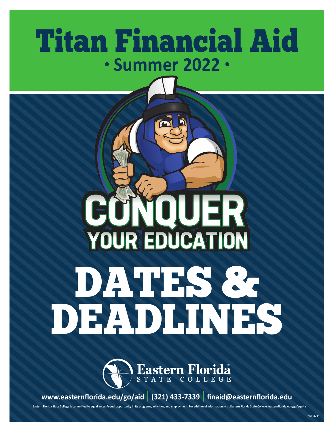# Titan Financial Aid **• Summer 2022 •**

# QUER **IGI** JNI **YOUR EDUCATION** DATES & DEADLINES



**www.easternflorida.edu/go/aid | (321) 433-7339 | finaid@easternflorida.edu**

**Eastern Florida State College is committed to equal access/equal opportunity in its programs, activities, and employment. For additional information, visit Eastern Florida State College: easternflorida.edu/go/equity**